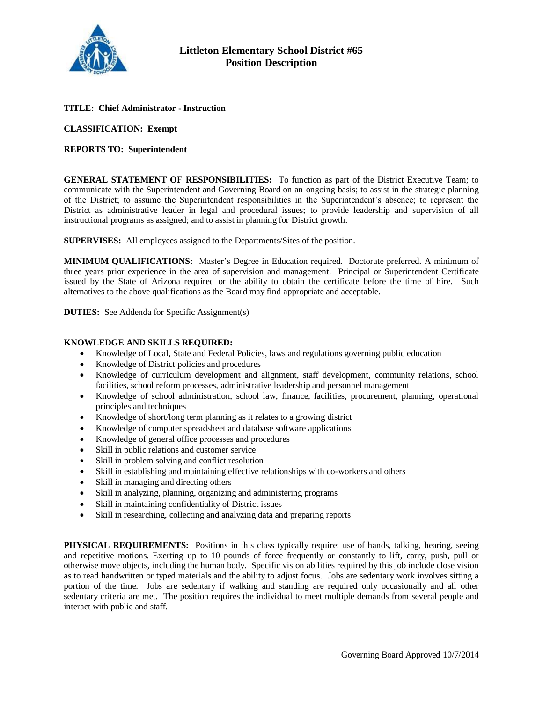

# **TITLE: Chief Administrator - Instruction**

### **CLASSIFICATION: Exempt**

# **REPORTS TO: Superintendent**

**GENERAL STATEMENT OF RESPONSIBILITIES:** To function as part of the District Executive Team; to communicate with the Superintendent and Governing Board on an ongoing basis; to assist in the strategic planning of the District; to assume the Superintendent responsibilities in the Superintendent's absence; to represent the District as administrative leader in legal and procedural issues; to provide leadership and supervision of all instructional programs as assigned; and to assist in planning for District growth.

**SUPERVISES:** All employees assigned to the Departments/Sites of the position.

**MINIMUM QUALIFICATIONS:** Master's Degree in Education required. Doctorate preferred. A minimum of three years prior experience in the area of supervision and management. Principal or Superintendent Certificate issued by the State of Arizona required or the ability to obtain the certificate before the time of hire. Such alternatives to the above qualifications as the Board may find appropriate and acceptable.

**DUTIES:** See Addenda for Specific Assignment(s)

### **KNOWLEDGE AND SKILLS REQUIRED:**

- Knowledge of Local, State and Federal Policies, laws and regulations governing public education
- Knowledge of District policies and procedures
- Knowledge of curriculum development and alignment, staff development, community relations, school facilities, school reform processes, administrative leadership and personnel management
- Knowledge of school administration, school law, finance, facilities, procurement, planning, operational principles and techniques
- Knowledge of short/long term planning as it relates to a growing district
- Knowledge of computer spreadsheet and database software applications
- Knowledge of general office processes and procedures
- Skill in public relations and customer service
- Skill in problem solving and conflict resolution
- Skill in establishing and maintaining effective relationships with co-workers and others
- Skill in managing and directing others
- Skill in analyzing, planning, organizing and administering programs
- Skill in maintaining confidentiality of District issues
- Skill in researching, collecting and analyzing data and preparing reports

**PHYSICAL REQUIREMENTS:** Positions in this class typically require: use of hands, talking, hearing, seeing and repetitive motions. Exerting up to 10 pounds of force frequently or constantly to lift, carry, push, pull or otherwise move objects, including the human body. Specific vision abilities required by this job include close vision as to read handwritten or typed materials and the ability to adjust focus. Jobs are sedentary work involves sitting a portion of the time. Jobs are sedentary if walking and standing are required only occasionally and all other sedentary criteria are met. The position requires the individual to meet multiple demands from several people and interact with public and staff.